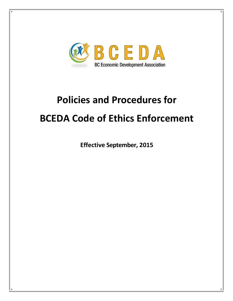

# **Policies and Procedures for BCEDA Code of Ethics Enforcement**

**Effective September, 2015**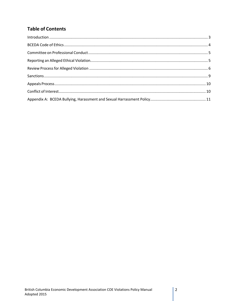# **Table of Contents**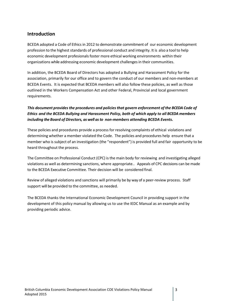# <span id="page-2-0"></span>**Introduction**

BCEDA adopted a Code of Ethics in 2012 to demonstrate commitment of our economic development profession to the highest standards of professional conduct and integrity. It is also a tool to help economic development profesionals foster more ethical working environments within their organizations while addressing economic development challengesin their communities.

In addition, the BCEDA Board of Directors has adopted a Bullying and Harassment Policy for the association, primarily for our office and to govern the conduct of our members and non-members at BCEDA Events. It is expected that BCEDA members will also follow these policies, as well as those outlined in the Workers Compensation Act and other Federal, Provincial and local government requirements.

## *This document provides the procedures and policiesthat govern enforcement of the BCEDA Code of Ethics and the BCEDA Bullying and Harassment Policy, both of which apply to all BCEDA members including the Board of Directors, as well as to non-members attending BCEDA Events.*

These policies and procedures provide a process for resolving complaints of ethical violations and determining whether a member violated the Code. The policies and procedures help ensure that a member who is subject of an investigation (the "respondent") is provided full and fair opportunity to be heard throughout the process.

The Committee on Professional Conduct (CPC) is the main body for reviewing and investigating alleged violations as well as determining sanctions, where appropriate.. Appeals of CPC decisions can be made to the BCEDA Executive Committee. Their decision will be considered final.

Review of alleged violations and sanctions will primarily be by way of a peer-review process. Staff support will be provided to the committee, as needed.

The BCEDA thanks the International Economic Development Council in providing support in the development of this policy manual by allowing us to use the IEDC Manual as an example and by providing periodic advice.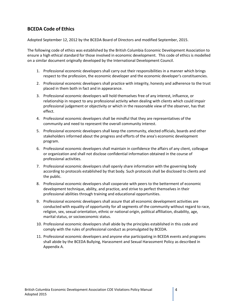# <span id="page-3-0"></span>**BCEDA Code of Ethics**

Adopted September 12, 2012 by the BCEDA Board of Directors and modified September, 2015.

The following code of ethics was established by the British Columbia Economic Development Association to ensure a high ethical standard for those involved in economic development. This code of ethics is modelled on a similar document originally developed by the International Development Council.

- 1. Professional economic developers shall carry out their responsibilities in a manner which brings respect to the profession, the economic developer and the economic developer's constituencies.
- 2. Professional economic developers shall practice with integrity, honesty and adherence to the trust placed in them both in fact and in appearance.
- 3. Professional economic developers will hold themselves free of any interest, influence, or relationship in respect to any professional activity when dealing with clients which could impair professional judgement or objectivity or which in the reasonable view of the observer, has that effect.
- 4. Professional economic developers shall be mindful that they are representatives of the community and need to represent the overall community interest.
- 5. Professional economic developers shall keep the community, elected officials, boards and other stakeholders informed about the progress and efforts of the area's economic development program.
- 6. Professional economic developers shall maintain in confidence the affairs of any client, colleague or organization and shall not disclose confidential information obtained in the course of professional activities.
- 7. Professional economic developers shall openly share information with the governing body according to protocols established by that body. Such protocols shall be disclosed to clients and the public.
- 8. Professional economic developers shall cooperate with peers to the betterment of economic development technique, ability, and practice, and strive to perfect themselves in their professional abilities through training and educational opportunities.
- 9. Professional economic developers shall assure that all economic development activities are conducted with equality of opportunity for all segments of the community without regard to race, religion, sex, sexual orientation, ethnic or national origin, political affiliation, disability, age, marital status, or socioeconomic status.
- 10. Professional economic developers shall abide by the principles established in this code and comply with the rules of professional conduct as promulgated by BCEDA.
- 11. Professional economic developers and anyone else participating in BCEDA events and programs shall abide by the BCEDA Bullying, Harassment and Sexual Harassment Policy as described in Appendix A.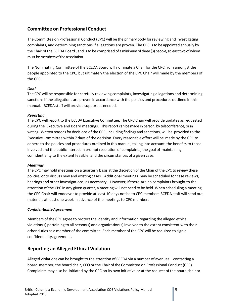# <span id="page-4-0"></span>**Committee on Professional Conduct**

The Committee on Professional Conduct (CPC) will be the primary body for reviewing and investigating complaints, and determining sanctions if allegations are proven. The CPC is to be appointed annually by the Chair of the BCEDA Board , and is to be comprised of a minimum of three (3) people, at least two of whom must be members of the association.

The Nominating Committee of the BCEDA Board will nominate a Chair for the CPC from amongst the people appointed to the CPC, but ultimately the election of the CPC Chair will made by the members of the CPC.

#### *Goal*

The CPC will be responsible for carefully reviewing complaints, investigating allegations and determining sanctions if the allegations are proven in accordance with the policies and procedures outlined in this manual. BCEDA staff will provide support as needed.

#### *Reporting*

The CPC will report to the BCEDA Executive Committee. The CPC Chair will provide updates as requested during the Executive and Board meetings. This report can be made in person, by teleconference, or in writing. Written reasons for decisions of the CPC, including findings and sanctions, will be provided to the Executive Committee within 7 days of the decision. Every reasonable effort will be made by the CPC to adhere to the policies and procedures outlined in this manual, taking into account the benefits to those involved and the public interest in prompt resolution of complaints, the goal of maintaining confidentiality to the extent feasible, and the circumstances of a given case.

#### *Meetings*

The CPC may hold meetings on a quarterly basis at the discretion of the Chair of the CPC to review these policies, or to discuss new and existing cases. Additional meetings may be scheduled for case reviews, hearings and other investigations, as necessary. However, if there are no complaints brought to the attention of the CPC in any given quarter, a meeting will not need to be held. When scheduling a meeting, the CPC Chair will endeavor to provide at least 10 days notice to CPC members BCEDA staff will send out materials at least one week in advance of the meetings to CPC members.

#### *ConfidentialityAgreement*

Members of the CPC agree to protect the identity and information regarding the alleged ethical violation(s) pertaining to all person(s) and organization(s) involved to the extent consistent with their other duties as a member of the committee. Each member of the CPC will be required to sign a confidentialityagreement.

## <span id="page-4-1"></span>**Reporting an Alleged Ethical Violation**

Alleged violations can be brought to the attention of BCEDA via a number of avenues – contacting a board member, the board chair, CEO or the Chair of the Committee on Professional Conduct (CPC). Complaints may also be initiated by the CPC on its own initiative or at the request of the board chair or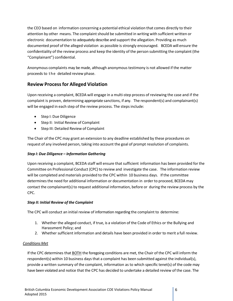the CEO based on information concerning a potential ethical violation that comes directly to their attention by other means. The complaint should be submitted in writing with sufficient written or electronic documentation to adequately describe and support the allegation. Providing as much documented proof of the alleged violation as possible is strongly encouraged. BCEDA will ensure the confidentiality of the review process and keep the identity of the person submitting the complaint (the "Complainant") confidential.

Anonymous complaints may be made, although anonymoustestimony is not allowed if the matter proceeds to the detailed review phase.

# <span id="page-5-0"></span>**Review Processfor Alleged Violation**

Upon receiving a complaint, BCEDA will engage in a multi‐step process of reviewing the case and if the complaint is proven, determining appropriate sanctions, if any. The respondent(s) and complainant(s) will be engaged in each step of the review process. The steps include:

- Step I: Due Diligence
- Step II: Initial Review of Complaint
- Step III: Detailed Review of Complaint

The Chair of the CPC may grant an extension to any deadline established by these procedures on request of any involved person, taking into account the goal of prompt resolution of complaints.

## *Step I: Due Diligence – Information Gathering*

Upon receiving a complaint, BCEDA staff will ensure that sufficient information has been provided for the Committee on Professional Conduct (CPC) to review and investigate the case. The information review will be completed and materials provided to the CPC within 10 business days. If the committee determines the need for additional information or documentation in order to proceed, BCEDA may contact the complainant(s) to request additional information, before or during the review process by the CPC.

## *Step II: Initial Review of the Complaint*

The CPC will conduct an initial review of information regarding the complaint to determine:

- 1. Whether the alleged conduct, if true, is a violation of the Code of Ethics or the Bullying and Harassment Policy; and
- 2. Whether sufficient information and details have been provided in order to merit a full review.

## *Conditions Met*

If the CPC determines that BOTH the foregoing conditions are met, the Chair of the CPC will inform the respondent(s) within 10 business days that a complaint has been submitted against the individual(s), provide a written summary of the complaint, information as to which specific tenet(s) of the code may have been violated and notice that the CPC has decided to undertake a detailed review of the case. The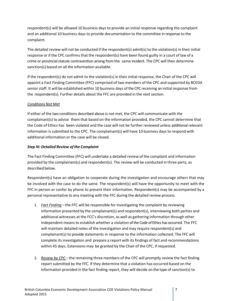respondent(s) will be allowed 10 business days to provide an initial response regarding the complaint and an additional 10 business days to provide documentation to the committee in response to the complaint.

The detailed review will not be conducted if the respondent(s) admit(s) to the violation(s) in their initial response or if the CPC confirms that the respondent(s) have been found guilty in a court of law of a crime or provincial statute contravention arising from the same incident. The CPC will then determine sanction(s) based on all the information available.

If the respondent(s) do not admit to the violation(s) in their initial response, the Chair of the CPC will appoint a Fact Finding Committee (FFC) comprised of two members of the CPC and supported by BCEDA senior staff. It will be established within 10 business days of the CPC receiving an initial response from the respondent(s). Further details about the FFC are provided in the next section.

## *Conditions Not Met*

If either of the two conditions described above is not met, the CPC will communicate with the complainant(s) to advise them that based on the information provided, the CPC cannot determine that the Code of Ethics has been violated and the case will not be further reviewed unless additional relevant information is submitted to the CPC. The complainant(s) will have 10 business days to respond with additional information or the case will be closed.

#### *Step III: Detailed Review of the Complaint*

The Fact Finding Committee (FFC) will undertake a detailed review of the complaint and information provided by the complainant(s) and respondent(s). The review will be conducted in three parts, as described below.

Respondent(s) have an obligation to cooperate during the investigation and encourage others that may be involved with the case to do the same. The respondent(s) will have the opportunity to meet with the FFC in person or confer by phone to present their information. Respondent(s) may be accompanied by a personal representative to any meeting with the FFC during the detailed review process.

- 1. *Fact Finding* the FFC will be responsible for investigating the complaint by reviewing information presented by the complainant(s) and respondent(s), interviewing both parties and additional witnesses at the FCC's discretion, as well as gathering information through other independent meansto establish whether a violation of the Code of Ethics has occurred. The FFC will maintain detailed notes of the investigation and may require respondent(s) and complainant(s) to provide statements in response to the information collected. The FFC will complete its investigation and prepare a report with its findings of fact and recommendations within 45 days. Extensions may be granted by the Chair of the CPC, if requested.
- 2. *Review by CPC* the remaining three members of the CPC will promptly review the fact finding report submitted by the FFC. If they determine that a violation has occurred based on the information provided in the fact finding report, they will decide on the type of sanction(s) to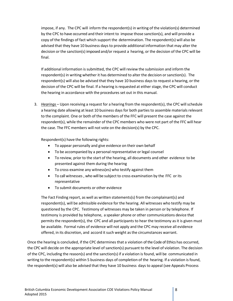impose, if any. The CPC will inform the respondent(s) in writing of the violation(s) determined by the CPC to have occurred and their intent to impose those sanction(s), and will provide a copy of the findings of fact which support the determination. The respondent(s) will also be advised that they have 10 business days to provide additional information that may alter the decision or the sanction(s) imposed and/or request a hearing, or the decision of the CPC will be final.

If additional information is submitted, the CPC will review the submission and inform the respondent(s) in writing whether it has determined to alter the decision or sanction(s). The respondent(s) will also be advised that they have 10 business days to request a hearing, or the decision of the CPC will be final. If a hearing is requested at either stage, the CPC will conduct the hearing in accordance with the procedures set out in this manual.

3. *Hearings* – Upon receiving a request for a hearing from the respondent(s), the CPC willschedule a hearing date allowing at least 10 business days for both parties to assemble materials relevant to the complaint. One or both of the members of the FFC will present the case against the respondent(s), while the remainder of the CPC members who were not part of the FFC will hear the case. The FFC members will not vote on the decision(s) by the CPC.

Respondent(s) have the following rights:

- To appear personally and give evidence on their own behalf
- To be accompanied by a personal representative or legal counsel
- To review, prior to the start of the hearing, all documents and other evidence to be presented against them during the hearing
- To cross‐examine any witness(es) who testify against them
- To call witnesses , who will be subject to cross examination by the FFC or its representative
- To submit documents or other evidence

The Fact Finding report, as well as written statements(s) from the complainant(s) and respondent(s), will be admissible evidence for the hearing. All witnesses who testify may be questioned by the CPC. Testimony of witnesses may be taken in person or by telephone. If testimony is provided by telephone, a speaker phone or other communications device that permits the respondent(s), the CPC and all participants to hear the testimony as it is given must be available. Formal rules of evidence will not apply and the CPC may receive all evidence offered, in its discretion, and accord it such weight asthe circumstances warrant.

Once the hearing is concluded, if the CPC determines that a violation of the Code of Ethics has occurred, the CPC will decide on the appropriate level of sanction(s) pursuant to the level of violation. The decision of the CPC, including the reason(s) and the sanction(s) if a violation is found, will be communicated in writing to the respondent(s) within 5 business days of completion of the hearing. If a violation is found, the respondent(s) will also be advised that they have 10 business days to appeal (see Appeals Process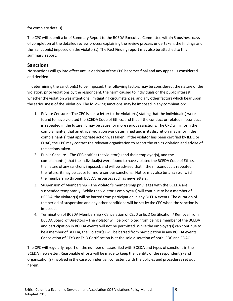for complete details).

The CPC will submit a brief Summary Report to the BCEDA Executive Committee within 5 business days of completion of the detailed review process explaining the review process undertaken, the findings and the sanction(s) imposed on the violator(s). The Fact Finding report may also be attached to this summary report.

# <span id="page-8-0"></span>**Sanctions**

No sanctions will go into effect until a decision of the CPC becomes final and any appeal is considered and decided.

In determining the sanction(s) to be imposed, the following factors may be considered: the nature of the violation, prior violations by the respondent, the harm caused to individuals or the public interest, whether the violation was intentional, mitigating circumstances, and any other factors which bear upon the seriousness of the violation. The following sanctions may be imposed in any combination:

- 1. Private Censure The CPC issues a letter to the violator(s) stating that the individual(s) were found to have violated the BCEDA Code of Ethics, and that if the conduct or related misconduct is repeated in the future, it may be cause for more serious sanctions. The CPC will inform the complainant(s) that an ethical violation was determined and in its discretion may inform the complainant(s) that appropriate action wastaken. If the violator has been certified by IEDC or EDAC, the CPC may contact the relevant organization to report the ethics violation and advise of the actions taken.
- 2. Public Censure The CPC notifies the violator(s) and their employer(s), and the complainant(s) that the individual(s) were found to have violated the BCEDA Code of Ethics, the nature of any sanctions imposed, and will be advised that if the misconduct is repeated in the future, it may be cause for more serious sanctions. Notice may also be shared with the membership through BCEDA resources such as newsletters.
- 3. Suspension of Membership The violator's membership privileges with the BCEDA are suspended temporarily. While the violator's employer(s) will continue to be a member of BCEDA, the violator(s) will be barred from participation in any BCEDA events. The duration of the period of suspension and any other conditions will be set by the CPC when the sanction is imposed.
- 4. Termination of BCEDA Membership / Cancelation of CEcD or Ec.D Certification / Removal from BCEDA Board of Directors – The violator will be prohibited from being a member of the BCEDA and participation in BCEDA events will not be permitted. While the employer(s) can continue to be a member of BCEDA, the violator(s) will be barred from participation in any BCEDA events. Cancelation of CEcD or Ec.D Certification is at the sole discretion of both IEDC and EDAC.

The CPC will regularly report on the number of cases filed with BCEDA and types of sanctions in the BCEDA newsletter. Reasonable efforts will be made to keep the identity of the respondent(s) and organization(s) involved in the case confidential, consistent with the policies and procedures set out herein.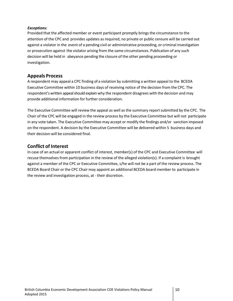#### *Exceptions:*

Provided that the affected member or event participant promptly brings the circumstance to the attention of the CPC and provides updates as required, no private or public censure will be carried out against a violator in the event of a pending civil or administrative proceeding, or criminal investigation or prosecution against the violator arising from the same circumstances. Publication of any such decision will be held in abeyance pending the closure of the other pending proceeding or investigation.

## <span id="page-9-0"></span>**Appeals Process**

A respondent may appeal a CPC finding of a violation by submitting a written appeal to the BCEDA Executive Committee within 10 business days of receiving notice of the decision from the CPC. The respondent's written appeal should explain why the respondent disagrees with the decision and may provide additional information for further consideration.

The Executive Committee will review the appeal as well as the summary reportsubmitted by the CPC. The Chair of the CPC will be engaged in the review process by the Executive Committee but will not participate in any vote taken. The Executive Committee may accept or modify the findings and/or sanction imposed on the respondent. A decision by the Executive Committee will be delivered within 5 business days and their decision will be considered final.

# <span id="page-9-1"></span>**Conflict of Interest**

In case of an actual or apparent conflict of interest, member(s) of the CPC and Executive Committee will recuse themselves from participation in the review of the alleged violation(s). If a complaint is brought against a member of the CPC or Executive Committee, s/he will not be a part of the review process. The BCEDA Board Chair or the CPC Chair may appoint an additional BCEDA board member to participate in the review and investigation process, at - their discretion.